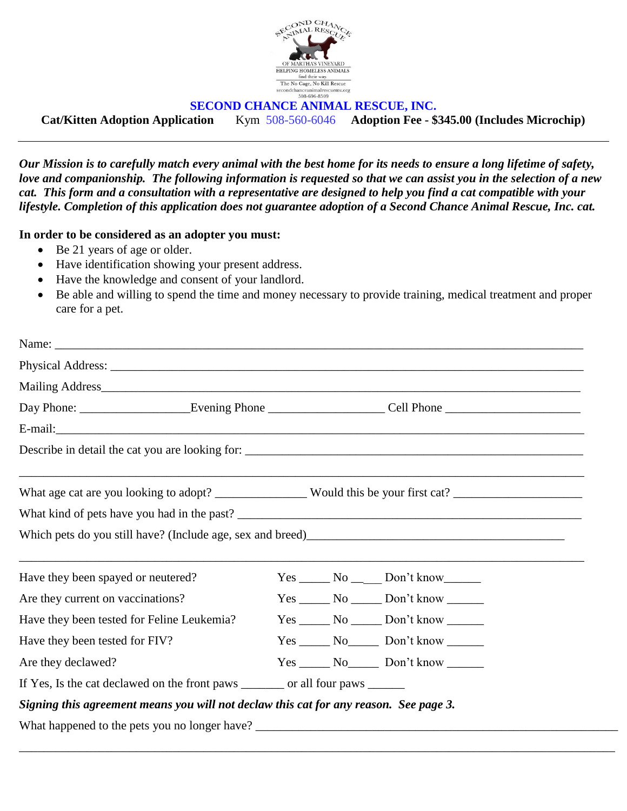

## **SECOND CHANCE ANIMAL RESCUE, INC.**

**Cat/Kitten Adoption Application** Kym 508-560-6046 **Adoption Fee - \$345.00 (Includes Microchip)**

*Our Mission is to carefully match every animal with the best home for its needs to ensure a long lifetime of safety, love and companionship. The following information is requested so that we can assist you in the selection of a new cat. This form and a consultation with a representative are designed to help you find a cat compatible with your lifestyle. Completion of this application does not guarantee adoption of a Second Chance Animal Rescue, Inc. cat.*

## **In order to be considered as an adopter you must:**

- Be 21 years of age or older.
- Have identification showing your present address.
- Have the knowledge and consent of your landlord.
- Be able and willing to spend the time and money necessary to provide training, medical treatment and proper care for a pet.

|  |  | Day Phone: __________________________Evening Phone _____________________________Cell Phone ___________________<br>What kind of pets have you had in the past?<br>$Yes \_\_\_No \_\_\_\_$ Don't know<br>$Yes \_\_\_No \_\_\_Don't know \_\_\_\_$<br>$Yes \_\_\_No \_\_\_Don't know \_\_\_\_$<br>$Yes \_\_\_No \_\_\_$ Don't know $\_\_\_\_\_$<br>$Yes \_\_\_No \_\_\_$ Don't know $\_\_\_\_\_$<br>If Yes, Is the cat declawed on the front paws ________ or all four paws ______<br>Signing this agreement means you will not declaw this cat for any reason. See page 3.<br>What happened to the pets you no longer have? ___________________________________ |
|--|--|---------------------------------------------------------------------------------------------------------------------------------------------------------------------------------------------------------------------------------------------------------------------------------------------------------------------------------------------------------------------------------------------------------------------------------------------------------------------------------------------------------------------------------------------------------------------------------------------------------------------------------------------------------------|

\_\_\_\_\_\_\_\_\_\_\_\_\_\_\_\_\_\_\_\_\_\_\_\_\_\_\_\_\_\_\_\_\_\_\_\_\_\_\_\_\_\_\_\_\_\_\_\_\_\_\_\_\_\_\_\_\_\_\_\_\_\_\_\_\_\_\_\_\_\_\_\_\_\_\_\_\_\_\_\_\_\_\_\_\_\_\_\_\_\_\_\_\_\_\_\_\_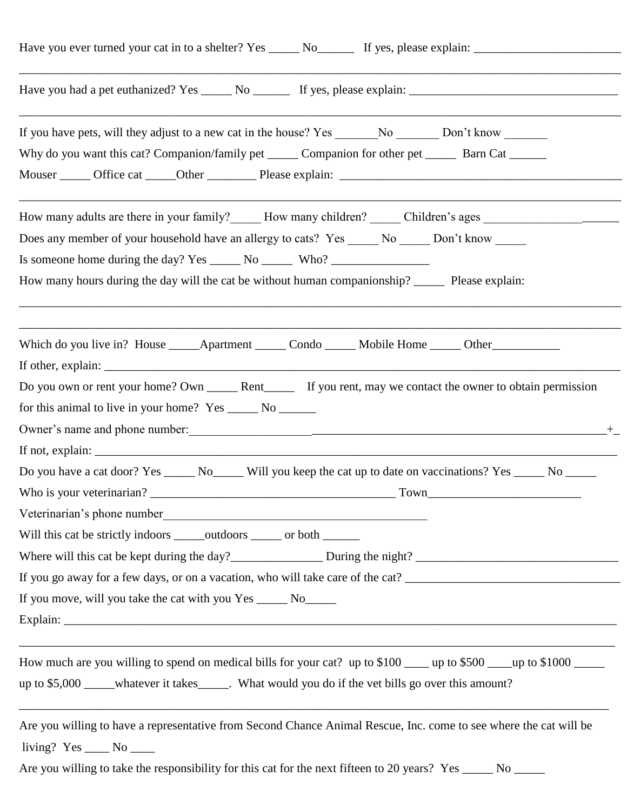| Have you ever turned your cat in to a shelter? Yes ______ No_______ If yes, please explain: __________________                                                                                                                                                                                                                                                              |
|-----------------------------------------------------------------------------------------------------------------------------------------------------------------------------------------------------------------------------------------------------------------------------------------------------------------------------------------------------------------------------|
|                                                                                                                                                                                                                                                                                                                                                                             |
| Why do you want this cat? Companion/family pet _______ Companion for other pet _______ Barn Cat _______                                                                                                                                                                                                                                                                     |
| How many adults are there in your family? How many children? Children's ages<br>Does any member of your household have an allergy to cats? Yes ______ No ______ Don't know ______<br>Is someone home during the day? Yes _______ No ________ Who? ___________________<br>How many hours during the day will the cat be without human companionship? _______ Please explain: |
| Which do you live in? House _______ Apartment _______ Condo _______ Mobile Home ______ Other _____________<br>for this animal to live in your home? Yes _______ No _______                                                                                                                                                                                                  |
| Do you have a cat door? Yes ________ No________ Will you keep the cat up to date on vaccinations? Yes ______ No ______<br>Will this cat be strictly indoors ______ outdoors ______ or both _______<br>If you go away for a few days, or on a vacation, who will take care of the cat?<br>If you move, will you take the cat with you Yes ______ No______                    |
| How much are you willing to spend on medical bills for your cat? up to \$100 ____ up to \$500 ___ up to \$1000 ___<br>up to \$5,000 ____whatever it takes______. What would you do if the vet bills go over this amount?                                                                                                                                                    |
| Are you willing to have a representative from Second Chance Animal Rescue, Inc. come to see where the cat will be<br>living? $Yes \_\_\_No \_\_\_$<br>Are you willing to take the responsibility for this cat for the next fifteen to 20 years? Yes _____ No _____                                                                                                          |